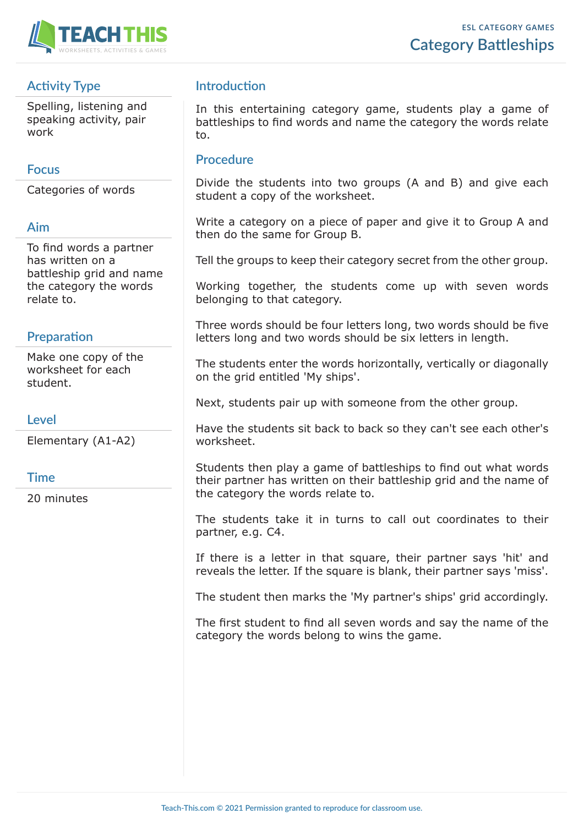

# **Activity Type**

Spelling, listening and speaking activity, pair work

### **Focus**

Categories of words

#### **Aim**

To find words a partner has written on a battleship grid and name the category the words relate to.

# **Preparation**

Make one copy of the worksheet for each student.

### **Level**

Elementary (A1-A2)

#### **Time**

20 minutes

# **Introduction**

In this entertaining category game, students play a game of battleships to find words and name the category the words relate to.

# **Procedure**

Divide the students into two groups (A and B) and give each student a copy of the worksheet.

Write a category on a piece of paper and give it to Group A and then do the same for Group B.

Tell the groups to keep their category secret from the other group.

Working together, the students come up with seven words belonging to that category.

Three words should be four letters long, two words should be five letters long and two words should be six letters in length.

The students enter the words horizontally, vertically or diagonally on the grid entitled 'My ships'.

Next, students pair up with someone from the other group.

Have the students sit back to back so they can't see each other's worksheet.

Students then play a game of battleships to find out what words their partner has written on their battleship grid and the name of the category the words relate to.

The students take it in turns to call out coordinates to their partner, e.g. C4.

If there is a letter in that square, their partner says 'hit' and reveals the letter. If the square is blank, their partner says 'miss'.

The student then marks the 'My partner's ships' grid accordingly.

The first student to find all seven words and say the name of the category the words belong to wins the game.